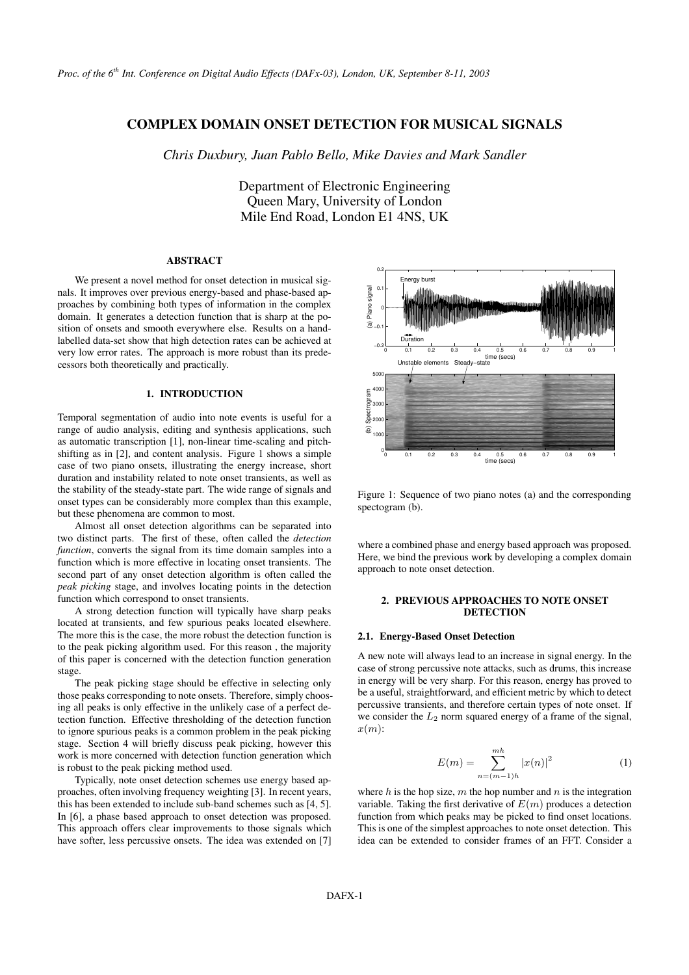# **COMPLEX DOMAIN ONSET DETECTION FOR MUSICAL SIGNALS**

*Chris Duxbury, Juan Pablo Bello, Mike Davies and Mark Sandler*

Department of Electronic Engineering Queen Mary, University of London Mile End Road, London E1 4NS, UK

## **ABSTRACT**

We present a novel method for onset detection in musical signals. It improves over previous energy-based and phase-based approaches by combining both types of information in the complex domain. It generates a detection function that is sharp at the position of onsets and smooth everywhere else. Results on a handlabelled data-set show that high detection rates can be achieved at very low error rates. The approach is more robust than its predecessors both theoretically and practically.

### **1. INTRODUCTION**

Temporal segmentation of audio into note events is useful for a range of audio analysis, editing and synthesis applications, such as automatic transcription [1], non-linear time-scaling and pitchshifting as in [2], and content analysis. Figure 1 shows a simple case of two piano onsets, illustrating the energy increase, short duration and instability related to note onset transients, as well as the stability of the steady-state part. The wide range of signals and onset types can be considerably more complex than this example, but these phenomena are common to most.

Almost all onset detection algorithms can be separated into two distinct parts. The first of these, often called the *detection function*, converts the signal from its time domain samples into a function which is more effective in locating onset transients. The second part of any onset detection algorithm is often called the *peak picking* stage, and involves locating points in the detection function which correspond to onset transients.

A strong detection function will typically have sharp peaks located at transients, and few spurious peaks located elsewhere. The more this is the case, the more robust the detection function is to the peak picking algorithm used. For this reason , the majority of this paper is concerned with the detection function generation stage.

The peak picking stage should be effective in selecting only those peaks corresponding to note onsets. Therefore, simply choosing all peaks is only effective in the unlikely case of a perfect detection function. Effective thresholding of the detection function to ignore spurious peaks is a common problem in the peak picking stage. Section 4 will briefly discuss peak picking, however this work is more concerned with detection function generation which is robust to the peak picking method used.

Typically, note onset detection schemes use energy based approaches, often involving frequency weighting [3]. In recent years, this has been extended to include sub-band schemes such as [4, 5]. In [6], a phase based approach to onset detection was proposed. This approach offers clear improvements to those signals which have softer, less percussive onsets. The idea was extended on [7]



Figure 1: Sequence of two piano notes (a) and the corresponding spectogram (b).

where a combined phase and energy based approach was proposed. Here, we bind the previous work by developing a complex domain approach to note onset detection.

#### **2. PREVIOUS APPROACHES TO NOTE ONSET DETECTION**

#### **2.1. Energy-Based Onset Detection**

A new note will always lead to an increase in signal energy. In the case of strong percussive note attacks, such as drums, this increase in energy will be very sharp. For this reason, energy has proved to be a useful, straightforward, and efficient metric by which to detect percussive transients, and therefore certain types of note onset. If we consider the  $L_2$  norm squared energy of a frame of the signal,  $x(m)$ :

$$
E(m) = \sum_{n=(m-1)h}^{mh} |x(n)|^2
$$
 (1)

where h is the hop size, m the hop number and  $n$  is the integration variable. Taking the first derivative of  $E(m)$  produces a detection function from which peaks may be picked to find onset locations. This is one of the simplest approaches to note onset detection. This idea can be extended to consider frames of an FFT. Consider a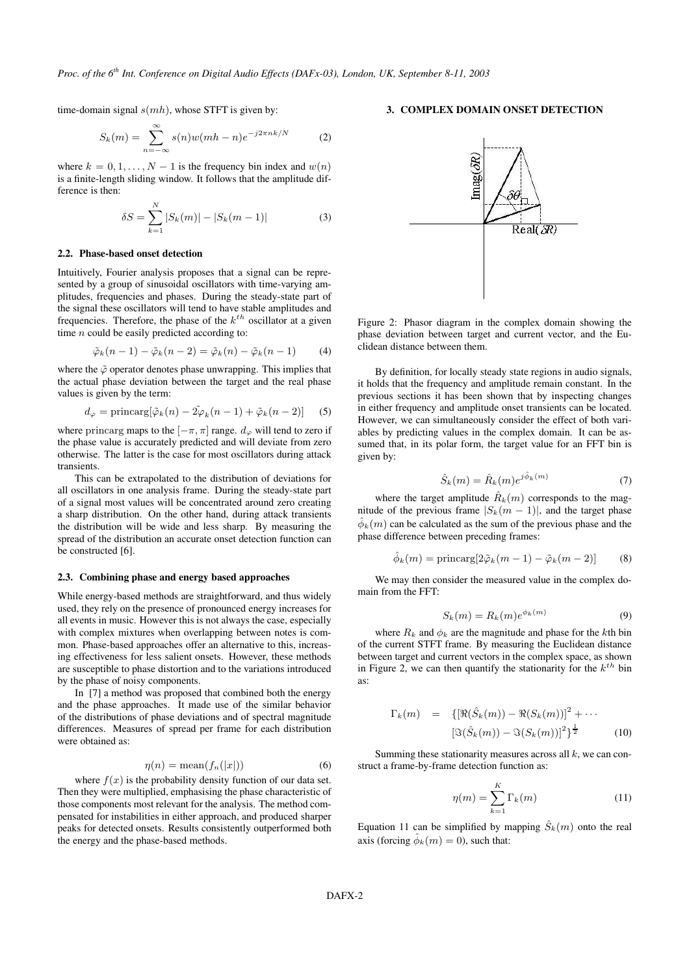time-domain signal  $s(mh)$ , whose STFT is given by:

$$
S_k(m) = \sum_{n = -\infty}^{\infty} s(n)w(mh - n)e^{-j2\pi nk/N}
$$
 (2)

where  $k = 0, 1, ..., N - 1$  is the frequency bin index and  $w(n)$ is a finite-length sliding window. It follows that the amplitude difference is then:

$$
\delta S = \sum_{k=1}^{N} |S_k(m)| - |S_k(m-1)| \tag{3}
$$

#### **2.2. Phase-based onset detection**

Intuitively, Fourier analysis proposes that a signal can be represented by a group of sinusoidal oscillators with time-varying amplitudes, frequencies and phases. During the steady-state part of the signal these oscillators will tend to have stable amplitudes and frequencies. Therefore, the phase of the  $k^{th}$  oscillator at a given time  $n$  could be easily predicted according to:

$$
\tilde{\varphi}_k(n-1) - \tilde{\varphi}_k(n-2) = \tilde{\varphi}_k(n) - \tilde{\varphi}_k(n-1) \tag{4}
$$

where the  $\tilde{\varphi}$  operator denotes phase unwrapping. This implies that the actual phase deviation between the target and the real phase values is given by the term:

$$
d_{\varphi} = \text{principal}(\tilde{\varphi}_k(n) - 2\tilde{\varphi}_k(n-1) + \tilde{\varphi}_k(n-2)) \tag{5}
$$

where princarg maps to the  $[-\pi, \pi]$  range.  $d_{\varphi}$  will tend to zero if the phase value is accurately predicted and will deviate from zero otherwise. The latter is the case for most oscillators during attack transients.

This can be extrapolated to the distribution of deviations for all oscillators in one analysis frame. During the steady-state part of a signal most values will be concentrated around zero creating a sharp distribution. On the other hand, during attack transients the distribution will be wide and less sharp. By measuring the spread of the distribution an accurate onset detection function can be constructed [6].

#### **2.3. Combining phase and energy based approaches**

While energy-based methods are straightforward, and thus widely used, they rely on the presence of pronounced energy increases for all events in music. However this is not always the case, especially with complex mixtures when overlapping between notes is common. Phase-based approaches offer an alternative to this, increasing effectiveness for less salient onsets. However, these methods are susceptible to phase distortion and to the variations introduced by the phase of noisy components.

In [7] a method was proposed that combined both the energy and the phase approaches. It made use of the similar behavior of the distributions of phase deviations and of spectral magnitude differences. Measures of spread per frame for each distribution were obtained as:

$$
\eta(n) = \text{mean}(f_n(|x|))\tag{6}
$$

where  $f(x)$  is the probability density function of our data set. Then they were multiplied, emphasising the phase characteristic of those components most relevant for the analysis. The method compensated for instabilities in either approach, and produced sharper peaks for detected onsets. Results consistently outperformed both the energy and the phase-based methods.

## **3. COMPLEX DOMAIN ONSET DETECTION**



Figure 2: Phasor diagram in the complex domain showing the phase deviation between target and current vector, and the Euclidean distance between them.

By definition, for locally steady state regions in audio signals, it holds that the frequency and amplitude remain constant. In the previous sections it has been shown that by inspecting changes in either frequency and amplitude onset transients can be located. However, we can simultaneously consider the effect of both variables by predicting values in the complex domain. It can be assumed that, in its polar form, the target value for an FFT bin is given by:

$$
\hat{S}_k(m) = \hat{R}_k(m)e^{j\hat{\phi}_k(m)}\tag{7}
$$

where the target amplitude  $\hat{R}_k(m)$  corresponds to the magnitude of the previous frame  $|S_k(m-1)|$ , and the target phase  $\hat{\phi}_k(m)$  can be calculated as the sum of the previous phase and the phase difference between preceding frames:

$$
\hat{\phi}_k(m) = \text{principal}(2\tilde{\varphi}_k(m-1) - \tilde{\varphi}_k(m-2)) \tag{8}
$$

We may then consider the measured value in the complex domain from the FFT:

$$
S_k(m) = R_k(m)e^{\phi_k(m)} \tag{9}
$$

where  $R_k$  and  $\phi_k$  are the magnitude and phase for the kth bin of the current STFT frame. By measuring the Euclidean distance between target and current vectors in the complex space, as shown in Figure 2, we can then quantify the stationarity for the  $k^{th}$  bin as:

$$
\Gamma_k(m) = \{ [\Re(\hat{S}_k(m)) - \Re(S_k(m))]^2 + \cdots
$$
  

$$
[\Im(\hat{S}_k(m)) - \Im(S_k(m))]^2 \}^{\frac{1}{2}} \qquad (10)
$$

Summing these stationarity measures across all  $k$ , we can construct a frame-by-frame detection function as:

$$
\eta(m) = \sum_{k=1}^{K} \Gamma_k(m) \tag{11}
$$

Equation 11 can be simplified by mapping  $\hat{S}_k(m)$  onto the real axis (forcing  $\hat{\phi}_k(m) = 0$ ), such that: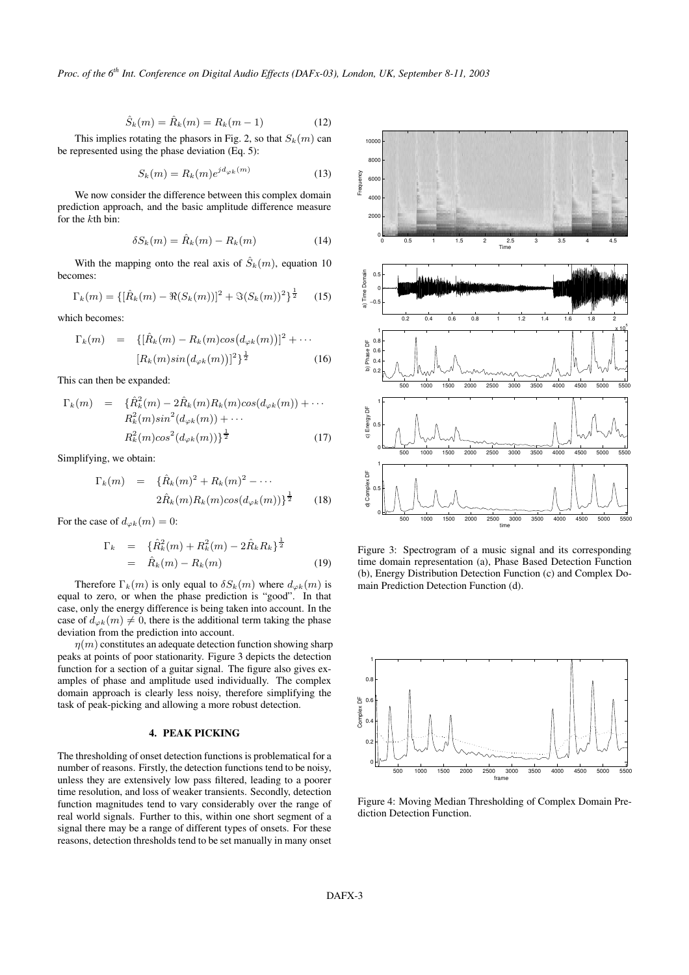$$
\hat{S}_k(m) = \hat{R}_k(m) = R_k(m-1)
$$
 (12)

This implies rotating the phasors in Fig. 2, so that  $S_k(m)$  can be represented using the phase deviation (Eq. 5):

$$
S_k(m) = R_k(m)e^{jd_{\varphi_k}(m)}\tag{13}
$$

We now consider the difference between this complex domain prediction approach, and the basic amplitude difference measure for the kth bin:

$$
\delta S_k(m) = \hat{R}_k(m) - R_k(m) \tag{14}
$$

With the mapping onto the real axis of  $\hat{S}_k(m)$ , equation 10 becomes:

$$
\Gamma_k(m) = \{ [\hat{R}_k(m) - \Re(S_k(m))]^2 + \Im(S_k(m))^2 \}^{\frac{1}{2}} \quad (15)
$$

which becomes:

$$
\Gamma_k(m) = \{ [\hat{R}_k(m) - R_k(m)\cos(d_{\varphi k}(m))]^2 + \cdots [R_k(m)\sin(d_{\varphi k}(m))]^2 \}^{\frac{1}{2}}
$$
(16)

This can then be expanded:

$$
\Gamma_k(m) = \{ \hat{R}_k^2(m) - 2\hat{R}_k(m)R_k(m)cos(d_{\varphi k}(m)) + \cdots \n R_k^2(m)sin^2(d_{\varphi k}(m)) + \cdots \n R_k^2(m)cos^2(d_{\varphi k}(m)) \}^{\frac{1}{2}}
$$
\n(17)

Simplifying, we obtain:

$$
\Gamma_k(m) = {\hat{R}_k(m)^2 + R_k(m)^2 - \cdots \over 2\hat{R}_k(m)R_k(m)cos(d_{\varphi k}(m))]^{\frac{1}{2}} \tag{18}
$$

For the case of  $d_{\varphi k}(m) = 0$ :

$$
\Gamma_k = \{ \hat{R}_k^2(m) + R_k^2(m) - 2\hat{R}_k R_k \}^{\frac{1}{2}}
$$
  
=  $\hat{R}_k(m) - R_k(m)$  (19)

Therefore  $\Gamma_k(m)$  is only equal to  $\delta S_k(m)$  where  $d_{\varphi k}(m)$  is equal to zero, or when the phase prediction is "good". In that case, only the energy difference is being taken into account. In the case of  $d_{\varphi k}(m) \neq 0$ , there is the additional term taking the phase deviation from the prediction into account.

 $\eta(m)$  constitutes an adequate detection function showing sharp peaks at points of poor stationarity. Figure 3 depicts the detection function for a section of a guitar signal. The figure also gives examples of phase and amplitude used individually. The complex domain approach is clearly less noisy, therefore simplifying the task of peak-picking and allowing a more robust detection.

## **4. PEAK PICKING**

The thresholding of onset detection functions is problematical for a number of reasons. Firstly, the detection functions tend to be noisy, unless they are extensively low pass filtered, leading to a poorer time resolution, and loss of weaker transients. Secondly, detection function magnitudes tend to vary considerably over the range of real world signals. Further to this, within one short segment of a signal there may be a range of different types of onsets. For these reasons, detection thresholds tend to be set manually in many onset



Figure 3: Spectrogram of a music signal and its corresponding time domain representation (a), Phase Based Detection Function (b), Energy Distribution Detection Function (c) and Complex Domain Prediction Detection Function (d).



Figure 4: Moving Median Thresholding of Complex Domain Prediction Detection Function.